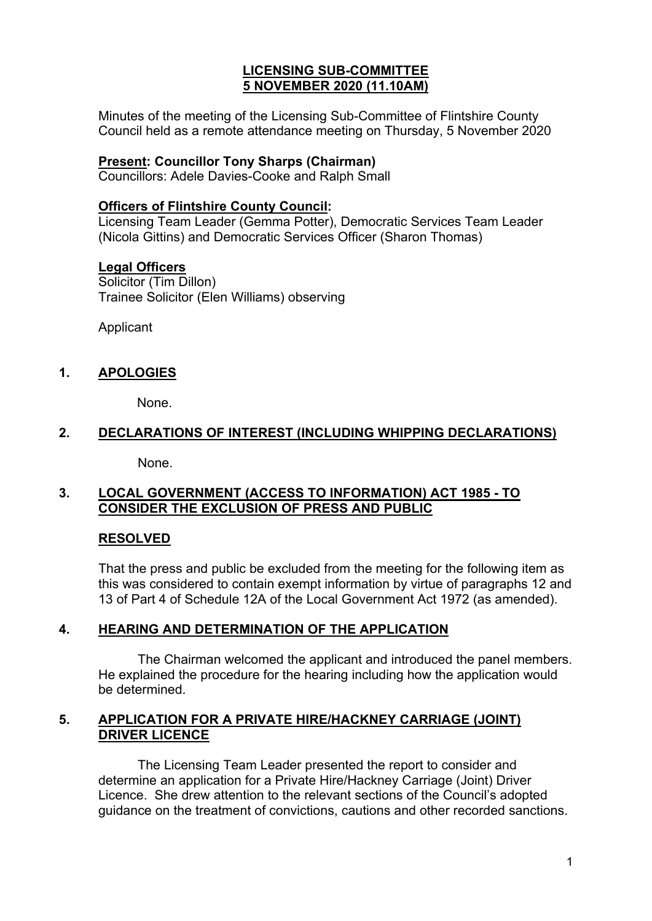### **LICENSING SUB-COMMITTEE 5 NOVEMBER 2020 (11.10AM)**

Minutes of the meeting of the Licensing Sub-Committee of Flintshire County Council held as a remote attendance meeting on Thursday, 5 November 2020

#### **Present: Councillor Tony Sharps (Chairman)**

Councillors: Adele Davies-Cooke and Ralph Small

#### **Officers of Flintshire County Council:**

Licensing Team Leader (Gemma Potter), Democratic Services Team Leader (Nicola Gittins) and Democratic Services Officer (Sharon Thomas)

#### **Legal Officers**

Solicitor (Tim Dillon) Trainee Solicitor (Elen Williams) observing

Applicant

## **1. APOLOGIES**

None.

### **2. DECLARATIONS OF INTEREST (INCLUDING WHIPPING DECLARATIONS)**

None.

### **3. LOCAL GOVERNMENT (ACCESS TO INFORMATION) ACT 1985 - TO CONSIDER THE EXCLUSION OF PRESS AND PUBLIC**

### **RESOLVED**

That the press and public be excluded from the meeting for the following item as this was considered to contain exempt information by virtue of paragraphs 12 and 13 of Part 4 of Schedule 12A of the Local Government Act 1972 (as amended).

### **4. HEARING AND DETERMINATION OF THE APPLICATION**

The Chairman welcomed the applicant and introduced the panel members. He explained the procedure for the hearing including how the application would be determined.

### **5. APPLICATION FOR A PRIVATE HIRE/HACKNEY CARRIAGE (JOINT) DRIVER LICENCE**

The Licensing Team Leader presented the report to consider and determine an application for a Private Hire/Hackney Carriage (Joint) Driver Licence. She drew attention to the relevant sections of the Council's adopted guidance on the treatment of convictions, cautions and other recorded sanctions.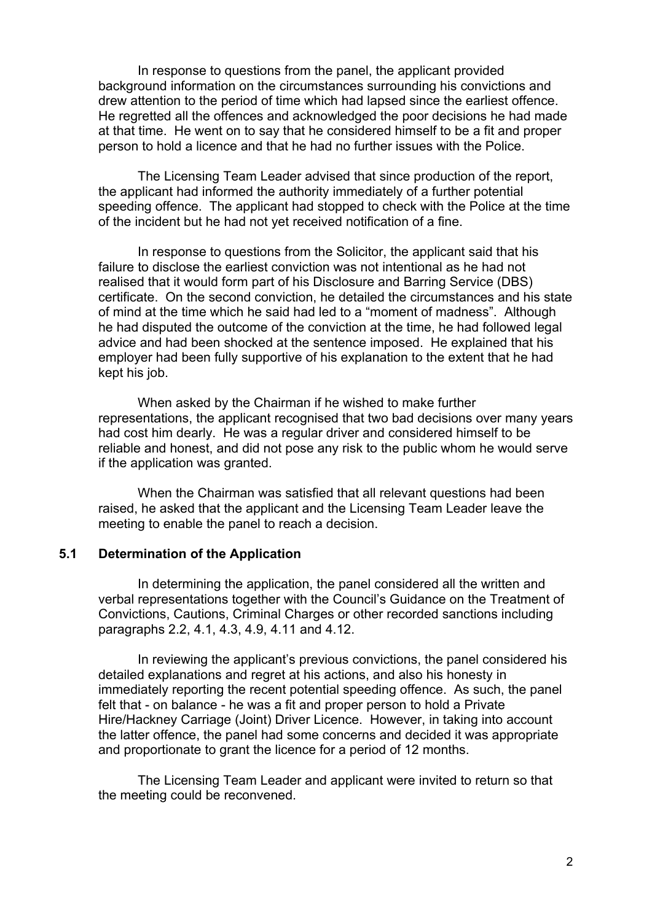In response to questions from the panel, the applicant provided background information on the circumstances surrounding his convictions and drew attention to the period of time which had lapsed since the earliest offence. He regretted all the offences and acknowledged the poor decisions he had made at that time. He went on to say that he considered himself to be a fit and proper person to hold a licence and that he had no further issues with the Police.

The Licensing Team Leader advised that since production of the report, the applicant had informed the authority immediately of a further potential speeding offence. The applicant had stopped to check with the Police at the time of the incident but he had not yet received notification of a fine.

In response to questions from the Solicitor, the applicant said that his failure to disclose the earliest conviction was not intentional as he had not realised that it would form part of his Disclosure and Barring Service (DBS) certificate. On the second conviction, he detailed the circumstances and his state of mind at the time which he said had led to a "moment of madness". Although he had disputed the outcome of the conviction at the time, he had followed legal advice and had been shocked at the sentence imposed. He explained that his employer had been fully supportive of his explanation to the extent that he had kept his job.

When asked by the Chairman if he wished to make further representations, the applicant recognised that two bad decisions over many years had cost him dearly. He was a regular driver and considered himself to be reliable and honest, and did not pose any risk to the public whom he would serve if the application was granted.

When the Chairman was satisfied that all relevant questions had been raised, he asked that the applicant and the Licensing Team Leader leave the meeting to enable the panel to reach a decision.

#### **5.1 Determination of the Application**

In determining the application, the panel considered all the written and verbal representations together with the Council's Guidance on the Treatment of Convictions, Cautions, Criminal Charges or other recorded sanctions including paragraphs 2.2, 4.1, 4.3, 4.9, 4.11 and 4.12.

In reviewing the applicant's previous convictions, the panel considered his detailed explanations and regret at his actions, and also his honesty in immediately reporting the recent potential speeding offence. As such, the panel felt that - on balance - he was a fit and proper person to hold a Private Hire/Hackney Carriage (Joint) Driver Licence. However, in taking into account the latter offence, the panel had some concerns and decided it was appropriate and proportionate to grant the licence for a period of 12 months.

The Licensing Team Leader and applicant were invited to return so that the meeting could be reconvened.